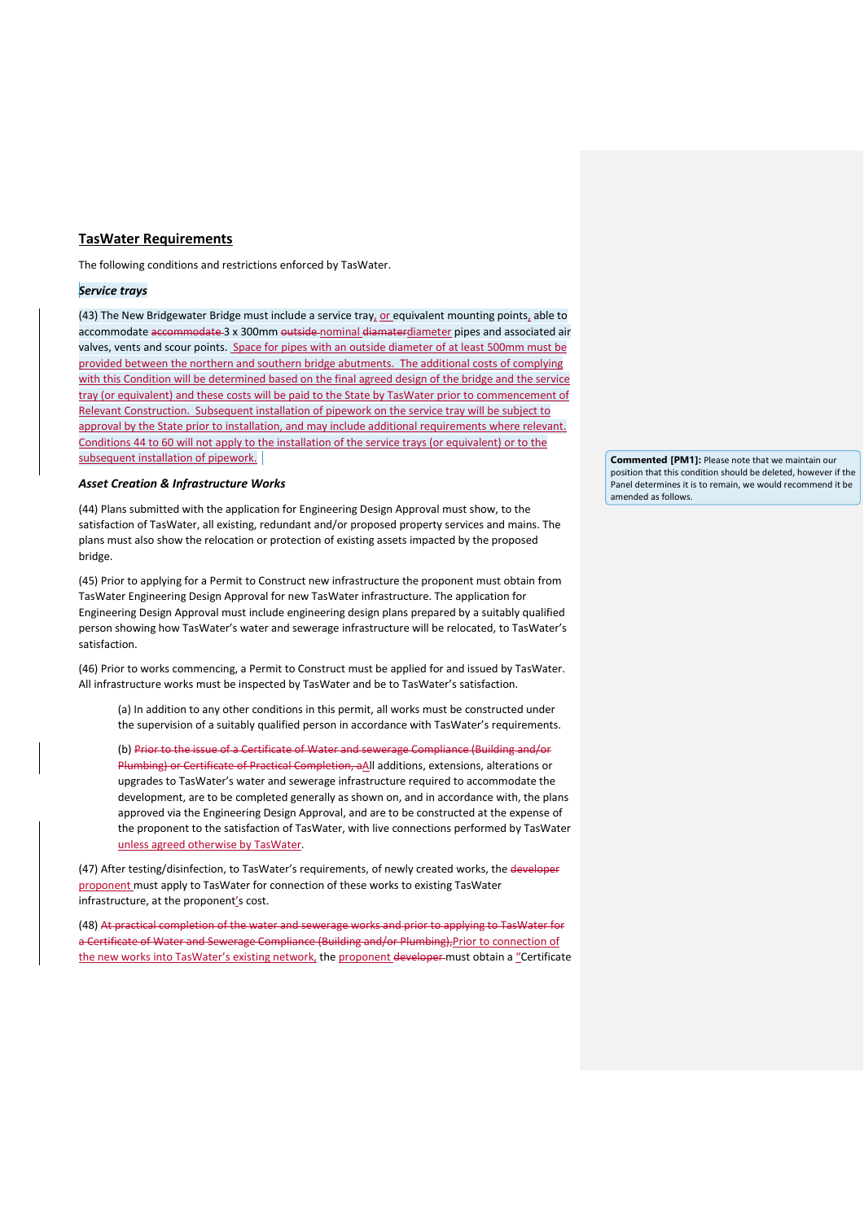# **TasWater Requirements**

The following conditions and restrictions enforced by TasWater.

#### *Service trays*

(43) The New Bridgewater Bridge must include a service tray, or equivalent mounting points, able to accommodate accommodate 3 x 300mm outside nominal diamaterdiameter pipes and associated air valves, vents and scour points. Space for pipes with an outside diameter of at least 500mm must be provided between the northern and southern bridge abutments. The additional costs of complying with this Condition will be determined based on the final agreed design of the bridge and the service tray (or equivalent) and these costs will be paid to the State by TasWater prior to commencement of Relevant Construction. Subsequent installation of pipework on the service tray will be subject to approval by the State prior to installation, and may include additional requirements where relevant. Conditions 44 to 60 will not apply to the installation of the service trays (or equivalent) or to the subsequent installation of pipework.

# *Asset Creation & Infrastructure Works*

(44) Plans submitted with the application for Engineering Design Approval must show, to the satisfaction of TasWater, all existing, redundant and/or proposed property services and mains. The plans must also show the relocation or protection of existing assets impacted by the proposed bridge.

(45) Prior to applying for a Permit to Construct new infrastructure the proponent must obtain from TasWater Engineering Design Approval for new TasWater infrastructure. The application for Engineering Design Approval must include engineering design plans prepared by a suitably qualified person showing how TasWater's water and sewerage infrastructure will be relocated, to TasWater's satisfaction.

(46) Prior to works commencing, a Permit to Construct must be applied for and issued by TasWater. All infrastructure works must be inspected by TasWater and be to TasWater's satisfaction.

(a) In addition to any other conditions in this permit, all works must be constructed under the supervision of a suitably qualified person in accordance with TasWater's requirements.

(b) Prior to the issue of a Certificate of Water and sewerage Compliance (Building and/or Plumbing) or Certificate of Practical Completion, aAll additions, extensions, alterations or upgrades to TasWater's water and sewerage infrastructure required to accommodate the development, are to be completed generally as shown on, and in accordance with, the plans approved via the Engineering Design Approval, and are to be constructed at the expense of the proponent to the satisfaction of TasWater, with live connections performed by TasWater unless agreed otherwise by TasWater.

(47) After testing/disinfection, to TasWater's requirements, of newly created works, the developer proponent must apply to TasWater for connection of these works to existing TasWater infrastructure, at the proponent's cost.

(48) At practical completion of the water and sewerage works and prior to applying to TasWater for a Certificate of Water and Sewerage Compliance (Building and/or Plumbing),Prior to connection of the new works into TasWater's existing network, the proponent developer must obtain a "Certificate **Commented [PM1]:** Please note that we maintain our position that this condition should be deleted, however if the .<br>Panel determines it is to remain, we would recommend it be amended as follows.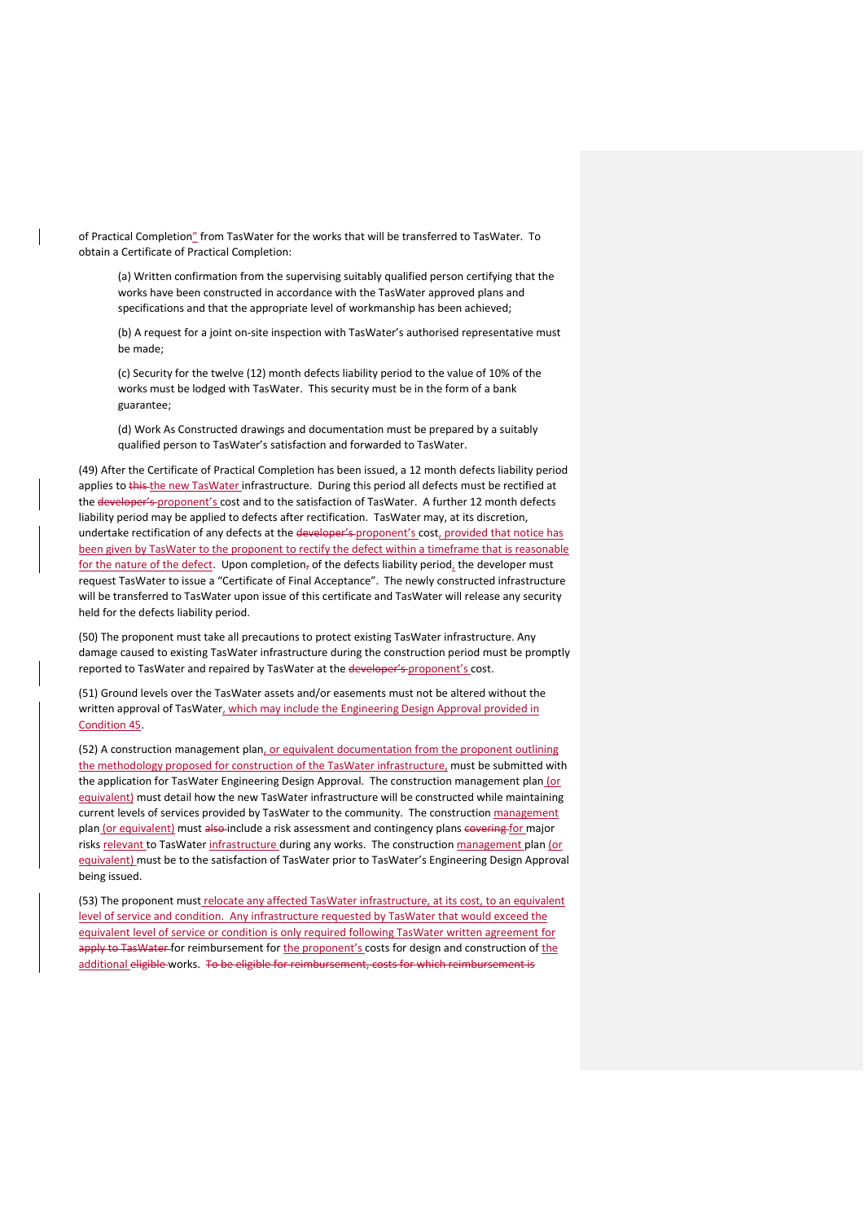of Practical Completion" from TasWater for the works that will be transferred to TasWater. To obtain a Certificate of Practical Completion:

(a) Written confirmation from the supervising suitably qualified person certifying that the works have been constructed in accordance with the TasWater approved plans and specifications and that the appropriate level of workmanship has been achieved;

(b) A request for a joint on-site inspection with TasWater's authorised representative must be made;

(c) Security for the twelve (12) month defects liability period to the value of 10% of the works must be lodged with TasWater. This security must be in the form of a bank guarantee;

(d) Work As Constructed drawings and documentation must be prepared by a suitably qualified person to TasWater's satisfaction and forwarded to TasWater.

(49) After the Certificate of Practical Completion has been issued, a 12 month defects liability period applies to this the new TasWater infrastructure. During this period all defects must be rectified at the developer's proponent's cost and to the satisfaction of TasWater. A further 12 month defects liability period may be applied to defects after rectification. TasWater may, at its discretion, undertake rectification of any defects at the developer's proponent's cost, provided that notice has been given by TasWater to the proponent to rectify the defect within a timeframe that is reasonable for the nature of the defect. Upon completion, of the defects liability period, the developer must request TasWater to issue a "Certificate of Final Acceptance". The newly constructed infrastructure will be transferred to TasWater upon issue of this certificate and TasWater will release any security held for the defects liability period.

(50) The proponent must take all precautions to protect existing TasWater infrastructure. Any damage caused to existing TasWater infrastructure during the construction period must be promptly reported to TasWater and repaired by TasWater at the developer's proponent's cost.

(51) Ground levels over the TasWater assets and/or easements must not be altered without the written approval of TasWater, which may include the Engineering Design Approval provided in Condition 45.

(52) A construction management plan, or equivalent documentation from the proponent outlining the methodology proposed for construction of the TasWater infrastructure, must be submitted with the application for TasWater Engineering Design Approval. The construction management plan (or equivalent) must detail how the new TasWater infrastructure will be constructed while maintaining current levels of services provided by TasWater to the community. The construction management plan (or equivalent) must also include a risk assessment and contingency plans covering for major risks relevant to TasWater infrastructure during any works. The construction management plan (or equivalent) must be to the satisfaction of TasWater prior to TasWater's Engineering Design Approval being issued.

(53) The proponent must relocate any affected TasWater infrastructure, at its cost, to an equivalent level of service and condition. Any infrastructure requested by TasWater that would exceed the equivalent level of service or condition is only required following TasWater written agreement for apply to TasWater for reimbursement for the proponent's costs for design and construction of the additional eligible works. To be eligible for reimbursement, costs for which reimbursement is